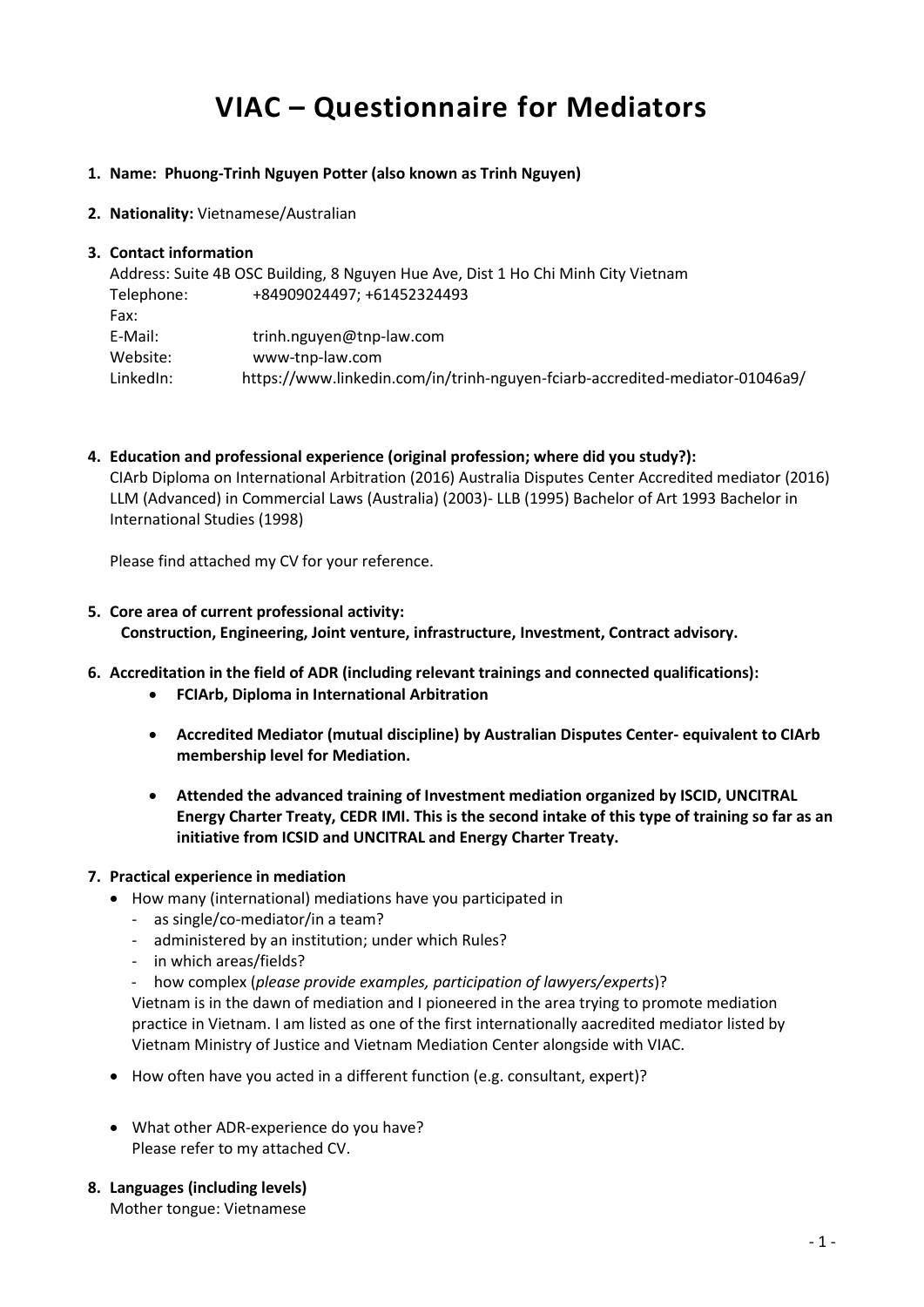# **VIAC – Questionnaire for Mediators**

#### **1. Name: Phuong-Trinh Nguyen Potter (also known as Trinh Nguyen)**

**2. Nationality:** Vietnamese/Australian

### **3. Contact information**

Address: Suite 4B OSC Building, 8 Nguyen Hue Ave, Dist 1 Ho Chi Minh City Vietnam Telephone: +84909024497; +61452324493 Fax: E-Mail: trinh.nguyen@tnp-law.com Website: www-tnp-law.com LinkedIn: https://www.linkedin.com/in/trinh-nguyen-fciarb-accredited-mediator-01046a9/

**4. Education and professional experience (original profession; where did you study?):** CIArb Diploma on International Arbitration (2016) Australia Disputes Center Accredited mediator (2016) LLM (Advanced) in Commercial Laws (Australia) (2003)- LLB (1995) Bachelor of Art 1993 Bachelor in International Studies (1998)

Please find attached my CV for your reference.

## **5. Core area of current professional activity: Construction, Engineering, Joint venture, infrastructure, Investment, Contract advisory.**

- **6. Accreditation in the field of ADR (including relevant trainings and connected qualifications):**
	- **FCIArb, Diploma in International Arbitration**
	- **Accredited Mediator (mutual discipline) by Australian Disputes Center- equivalent to CIArb membership level for Mediation.**
	- **Attended the advanced training of Investment mediation organized by ISCID, UNCITRAL Energy Charter Treaty, CEDR IMI. This is the second intake of this type of training so far as an initiative from ICSID and UNCITRAL and Energy Charter Treaty.**

## **7. Practical experience in mediation**

- How many (international) mediations have you participated in
	- as single/co-mediator/in a team?
	- administered by an institution; under which Rules?
	- in which areas/fields?
	- how complex (*please provide examples, participation of lawyers/experts*)?

Vietnam is in the dawn of mediation and I pioneered in the area trying to promote mediation practice in Vietnam. I am listed as one of the first internationally aacredited mediator listed by Vietnam Ministry of Justice and Vietnam Mediation Center alongside with VIAC.

- How often have you acted in a different function (e.g. consultant, expert)?
- What other ADR-experience do you have? Please refer to my attached CV.
- **8. Languages (including levels)** Mother tongue: Vietnamese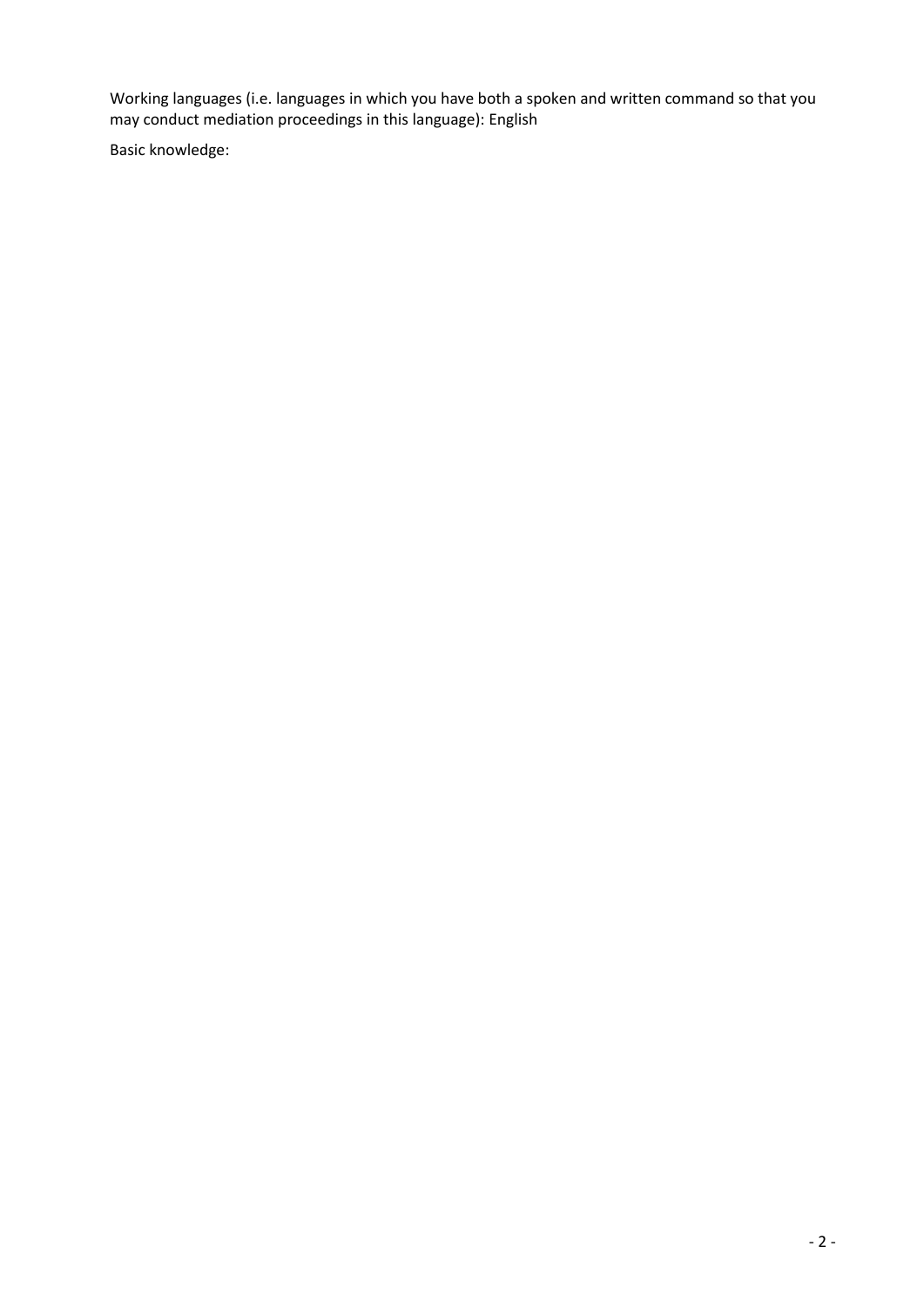Working languages (i.e. languages in which you have both a spoken and written command so that you may conduct mediation proceedings in this language): English

Basic knowledge: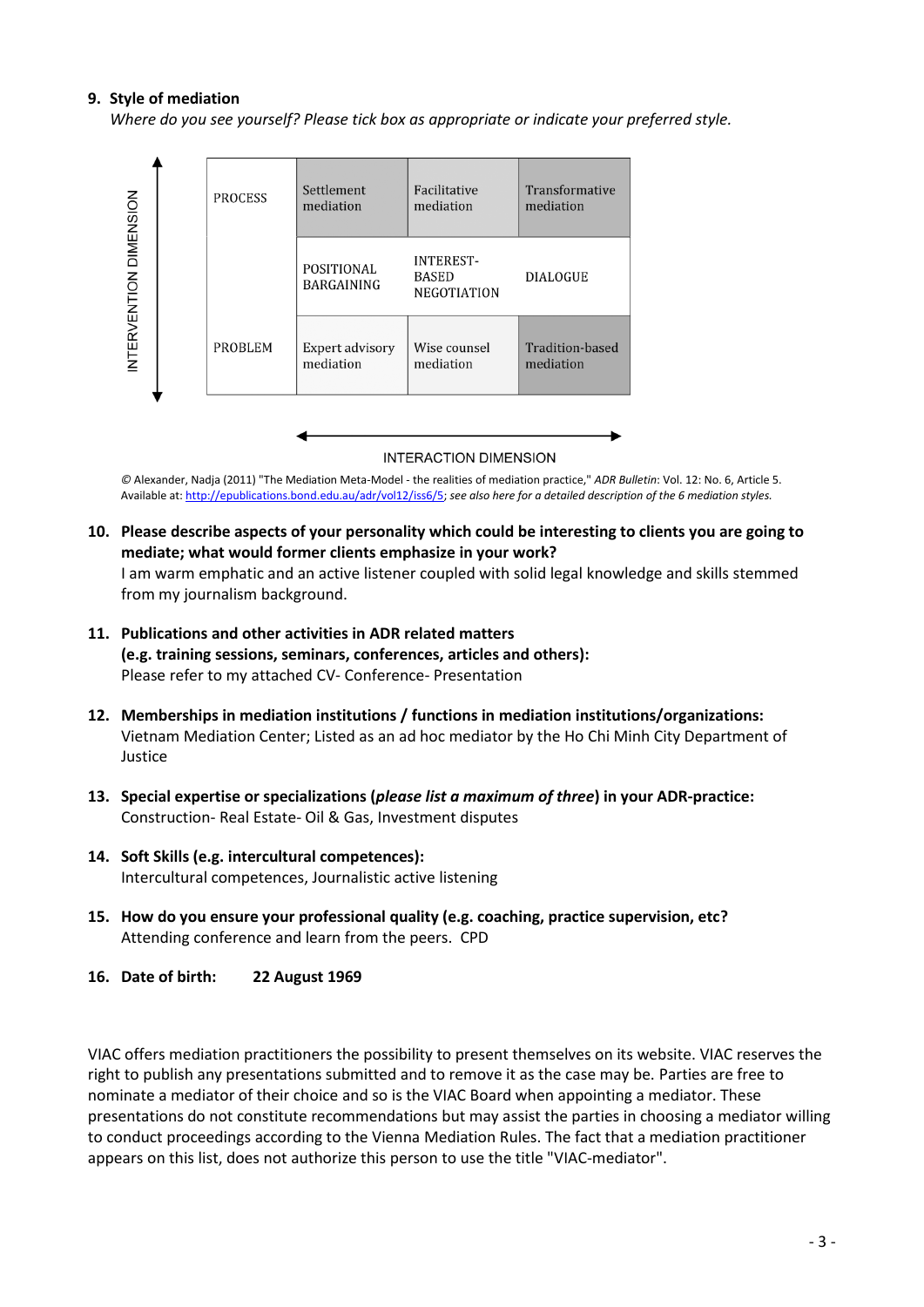### **9. Style of mediation**

*Where do you see yourself? Please tick box as appropriate or indicate your preferred style.*



**INTERACTION DIMENSION** 

*©* Alexander, Nadja (2011) "The Mediation Meta-Model - the realities of mediation practice," *ADR Bulletin*: Vol. 12: No. 6, Article 5. Available at: [http://epublications.bond.edu.au/adr/vol12/iss6/5;](http://epublications.bond.edu.au/adr/vol12/iss6/5) *see also here for a detailed description of the 6 mediation styles.*

- **10. Please describe aspects of your personality which could be interesting to clients you are going to mediate; what would former clients emphasize in your work?** I am warm emphatic and an active listener coupled with solid legal knowledge and skills stemmed from my journalism background.
- **11. Publications and other activities in ADR related matters (e.g. training sessions, seminars, conferences, articles and others):** Please refer to my attached CV- Conference- Presentation
- **12. Memberships in mediation institutions / functions in mediation institutions/organizations:** Vietnam Mediation Center; Listed as an ad hoc mediator by the Ho Chi Minh City Department of Justice
- **13. Special expertise or specializations (***please list a maximum of three***) in your ADR-practice:** Construction- Real Estate- Oil & Gas, Investment disputes
- **14. Soft Skills (e.g. intercultural competences):** Intercultural competences, Journalistic active listening
- **15. How do you ensure your professional quality (e.g. coaching, practice supervision, etc?** Attending conference and learn from the peers. CPD
- **16. Date of birth: 22 August 1969**

VIAC offers mediation practitioners the possibility to present themselves on its website. VIAC reserves the right to publish any presentations submitted and to remove it as the case may be. Parties are free to nominate a mediator of their choice and so is the VIAC Board when appointing a mediator. These presentations do not constitute recommendations but may assist the parties in choosing a mediator willing to conduct proceedings according to the Vienna Mediation Rules. The fact that a mediation practitioner appears on this list, does not authorize this person to use the title "VIAC-mediator".